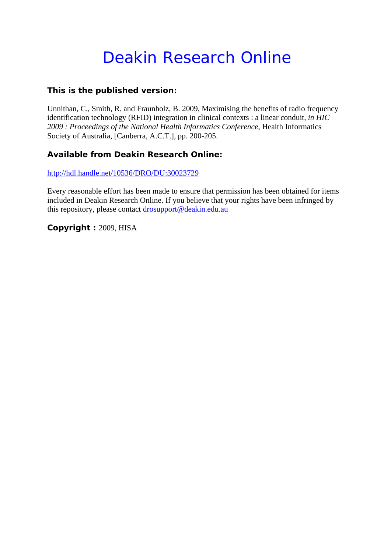# Deakin Research Online

## **This is the published version:**

Unnithan, C., Smith, R. and Fraunholz, B. 2009, Maximising the benefits of radio frequency identification technology (RFID) integration in clinical contexts : a linear conduit*, in HIC 2009 : Proceedings of the National Health Informatics Conference*, Health Informatics Society of Australia, [Canberra, A.C.T.], pp. 200-205.

## **Available from Deakin Research Online:**

http://hdl.handle.net/10536/DRO/DU:30023729

Every reasonable effort has been made to ensure that permission has been obtained for items included in Deakin Research Online. If you believe that your rights have been infringed by this repository, please contact drosupport@deakin.edu.au

**Copyright :** 2009, HISA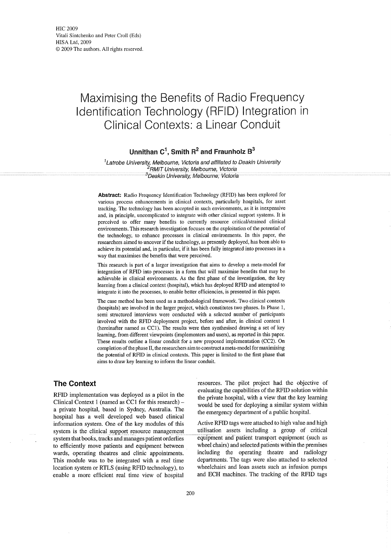## **Maximising the Benefits of Radio Frequency Identification Technology (RFID) Integration in Clinical Contexts: a Linear Conduit**

## **Unnithan** C1, **Smith R<sup>2</sup> and Fraunholz** 8<sup>3</sup>

 $1$ Latrobe University, Melbourne, Victoria and affiliated to Deakin University <sup>2</sup>RMIT University, Melbourne, Victoria<br><sup>3</sup>Deakin University, Melbourne, Victoria

**Abstract:** Radio Frequency Identification Technology (RFIO) has been explored for various process enhancements in clinical contexts, particularly hospitals, for asset tracking. The technology has been accepted in such environments, as it is inexpensive and, in principle, uncomplicated to integrate with other clinical support systems. It is perceived to offer many benefits to currently resource critical/strained clinical environments. This research investigation focuses on the exploitation of the potential of the technology, to enhance processes in clinical environments. In this paper, the researchers aimed to uncover if the technology, as presently deployed, has been able to achieve its potential and, in particular, if it has been fully integrated into processes in a way that maximises the benefits that were perceived.

This research is part of a larger investigation that aims to develop a meta-model for integration of RFIO into processes in a form that will maximise benefits that may be achievable in clinical environments. As the first phase of the investigation, the key learning from a clinical context (hospital), which has deployed RFIO and attempted to integrate it into the processes, to enable better efficiencies, is presented in this paper.

The case method has been used as a methodological framework. Two clinical contexts (hospitals) are involved in the larger project, which constitutes two phases. In Phase 1, semi structured interviews were conducted with a selected number of participants involved with the RFIO deployment project, before and after, in clinical context 1 (hereinafter named as CCl). The results were then synthesised drawing a set of key learning, from different viewpoints (implementers and users), as reported in this paper. These results outline a linear conduit for a new proposed implementation (CC2). On completion of the phase II, the researchers aim to construct a meta-model for maximising the potential of RFIO in clinical contexts. This paper is limited to the first phase that aims to draw key learning to inform the linear conduit.

### **The Context**

RFID implementation was deployed as a pilot in the Clinical Context I (named as CCI for this research) a private hospital, based in Sydney, Australia. The hospital has a well developed web based clinical information system. One of the key modules of this system is the clinical support resource management system that books, tracks and manages patient orderlies to efficiently move patients and equipment between wards, operating theatres and clinic appointments. This module was to be integrated with a real time location system or RTLS (using RPID technology), to enable a more efficient real time view of hospital

resources. The pilot project had the objective of evaluating the capabilities of the RPID solution within the private hospital, with a view that the key learning would be used for deploying a similar system within the emergency department of a public hospital.

Active RFID tags were attached to high value and high utilisation assets including a group of critical equipment and patient transport equipment (such as wheel chairs) and selected patients within the premises including the operating theatre and radiology departments. The tags were also attached to selected wheelchairs and loan assets such as infusion pumps and ECH machines. The tracking of the RFID tags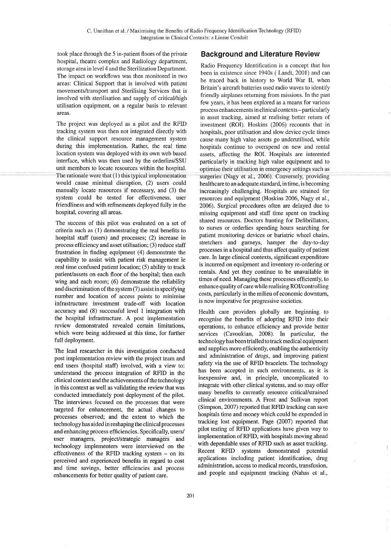took place through the 5 in-patient floors of the private hospital, theatre complex and Radiology department, storage area in level 4 and the Sterilization Department. The impact on workflows was then monitored in two areas: Clinical Support that is involved with patient movements/transport and Sterilising Services that is involved with sterilisation and supply of critical/high utilisation equipment, on a regular basis to relevant areas.

The project was deployed as a pilot and the RFID tracking system was then not integrated directly with the clinical support resource management system during this implementation. Rather, the real time location system was deployed with its own web based interface, which was then used by the orderlies/SSU unit members to locate resources within the hospital. The rationale were that  $(1)$  this typical implementation would cause minimal disruption, (2) users could manually locate resources if necessary, and (3) the system could be tested for effectiveness, user friendliness and with refinements deployed fully in the hospital, covering all areas.

The success of this pilot was evaluated on a set of criteria such as (1) demonstrating the real benefits to hospital staff (users) and processes; (2) increase in process efficiency and asset utilisation; (3) reduce staff frustration in finding equipment (4) demonstrate the capability to assist with patient risk management ie real time confused patient location; (5) ability to track patient/assets on each floor of the hospital; then each wing and each room; (6) demonstrate the reliability and discrimination of the system  $(7)$  assist in specifying number and location of access points to minimise infrastructure investment trade-off with location accuracy and (8) successful level I integration with the hospital infrastructure. A post implementation review demonstrated revealed certain limitations, which were being addressed at this time, for further full deployment.

The lead researcher in this investigation conducted post implementation review with the project team and end users (hospital staff) involved, with a view to: understand the process integration of RFID in the clinical context and the achievements of the technology in this context as well as validating the review that was conducted immediately post deployment of the pilot. The interviews focused on the processes that were targeted for enhancement, the actual changes to processes observed; and the extent to which the technology has aided in reshaping the clinical processes and enhancing process efficiencies. Specifically, users/ user managers, project/strategic managers and technology implementers were interviewed on the effectiveness of the RFID tracking system  $-$  on its perceived and experienced benefits in regard to cost and time savings, better efficiencies and process enhancements for better quality of patient care.

## **Background and Literature Review**

Radio Frequency Identification is a concept that has been in existence since 1940s (Landt, 2001) and can be traced back in history to World War II, when Britain's aircraft batteries used radio waves to identify friendly airplanes returning from missions. In the past few years, it has been explored as a means for various process enhancementsin clinical contexts- particularly in asset tracking, aimed at realising better retum of investment (ROI). Hoskins (2006) recounts that in hospitals, poor utilisation and slow device cycle times cause many high value assets go underutilised, while hospitals continue to overspend on new and rental assets, affecting the ROI. Hospitals are interested particularly in tracking high value equipment and to optimise their utilisation in emergency settings such as surgeries (Nagy et al., 2006). Conversely, providing healthcare to an adequate standard, in time, is becoming increasingly challenging. Hospitals are strained for resources and equipment (Hoskins 2006, Nagy et aI., 2006). Surgical procedures often are delayed due to missing equipment and staff time spent on tracking shared resources. Doctors hunting for Defibrillators, to nurses or orderlies spending hours searching for patient monitoring devices or bariatric wheel chairs, stretchers and gurneys, hamper the day-to-day processes in a hospital and thus affect quality of patient care. In large clinical contexts, significant expenditure is incurred on equipment and inventory re-ordering or rentals. And yet they continue to be unavailable in times of need. Managing these processes efficiently, to enhance quality of care while realising ROI/controlling costs, particularly in the milieu of economic downtum, is now imperative for progressive societies.

Health care providers globally are beginning to recognise the benefits of adopting RFID into their operations, to enhance efficiency and provide better services (Cavoukian, 2008). In particular, the technology has been trialled to track medical equipment and supplies more efficiently, enabling the authenticity and administration of drugs, and improving patient safety via the use of RFID bracelets. The technology has been accepted in such environments, as it is inexpensive and, in principle, uncomplicated to integrate with other clinical systems, and so may offer many benefits to currently resource critical/strained clinical environments. A Frost and Sullivan report (Simpson, 2007) reported that RFID tracking can save hospitals time and money which could be expended in tracking lost equipment. Page (2007) reported that pilot testing of RFID applications have given way to implementation ofRFID, with hospitals moving ahead with dependable uses of RFID such as asset tracking. Recent RFID systems demonstrated potential applications including patient identification, drug administration, access to medical records, transfusion, and· people and equipment tracking (Nahas et a!.,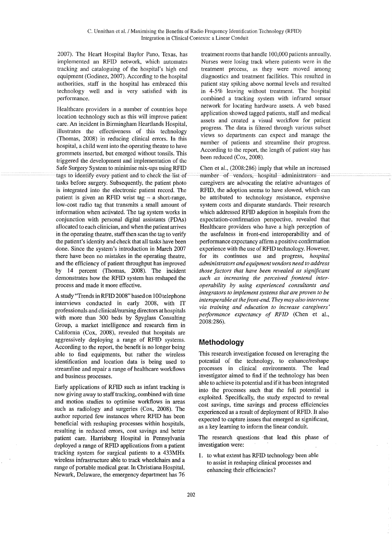2007). The Heart Hospital Baylor Pano, Texas, has implemented an RFIO network, which automates tracking and cataloguing of the hospital's high end equipment (Godinez, 2007). According to the hospital authorities, staff in the hospital has embraced this technology well and is very satisfied with its performance.

Healthcare providers in a number of countries hope location technology such as this will improve patient care. An incident in Birmingham Heartlands Hospital, illustrates the effectiveness of this technology (Thomas, 2008) in reducing clinical errors. In this hospital, a child went into the operating theatre to have grommets inserted, but emerged without tonsils. This triggered the development and implementation of the Safe Surgery System to minimise mix-ups using RFID tags to identify every patient and to check the list of tasks before surgery. Subsequently, the patient photo is integrated into the electronic patient record. The patient is given an RFID wrist tag  $-$  a short-range, low-cost radio tag that transmits a small amount of information when activated. The tag system works in conjunction with personal digital assistants (POAs) allocated to each clinician, and when the patient arrives in the operating theatre, staff then scan the tag to verify the patient's identity and check that all tasks have been done. Since the system's introduction in March 2007 there have been no mistakes in the operating theatre, and the efficiency of patient throughput has improved by 14 percent (Thomas, 2008). The incident demonstrates how the RFIO system has reshaped the process and made it more effective.

A study "Trendsin RFID 2008" based on 100 telephone interviews conducted in early 2008, with IT professionals and clinical/nursing directors at hospitals with more than 300 beds by Spyglass Consulting Group, a market intelligence and research firm in California (Cox, 2008), revealed that hospitals are aggressively deploying a range of RFIO systems. According to the report, the benefit is no longer being able to find equipments, but rather the wireless identification and location data is being used to streamline and repair a range of healthcare workflows and business processes.

Early applications of RFID such as infant tracking is now giving away to staff tracking, combined with time and motion studies to optimise workflows in areas such as radiology and surgeries (Cox, 2008). The author reported few instances where RFIO has been beneficial with reshaping processes within hospitals, resulting in reduced errors, cost savings and better patient care. Harrisburg Hospital in Pennsylvania deployed a range of RFIO applications from a patient tracking system for surgical patients to a 433MHx wireless infrastructure able to track wheelchairs and a range of portable medical gear. In Christiana Hospital, Newark, Delaware, the emergency department has 76

treatment rooms that handle 100,000 patients annually. Nurses were losing track where patients were in the treatment process, as they were moved among diagnostics and treatment facilities. This resulted in patient stay spiking above normal levels and resulted in 4-5% leaving without treatment. The hospital combined a tracking system with infrared sensor network for locating hardware assets. A web based application showed tagged patients, staff and medical assets and created a visual workflow for patient progress. The data is filtered through various subset views so departments can expect and manage the number of patients and streamline their progress. According to the report, the length of patient stay has been reduced (Cox, 2008).

Chen et a!., (2008:286) imply that while an increased number of vendors, hospital administrators and caregivers are advocating the relative advantages of RFIO, the adoption seems to have slowed, which can be attributed to technology resistance, expensive system costs and disparate standards. Their research which addressed RFID adoption in hospitals from the expectation-confirmation perspective, revealed that Healthcare providers who have a high perception of the usefulness in front-end interoperability and of performance expectancy affirm a positive confirmation experience with the use of RFID technology. However, for its continues use and progress, *hospital administrators and equipment vendors need to address those factors that have been revealed as significant such as increasing the perceived frontend interoperability by using experienced consultants and integrators to implement systems that are proven to be interoperable at thefront-end. They may also intervene via training and education to increase caregivers' performance expectancy of RFID* (Chen et aI., 2008:286).

#### **Methodology**

This research investigation focused on leveraging the potential of the technology, to enhance/reshape processes in clinical environments. The lead investigator aimed to find if the technology has been able to achieve its potential and if it has been integrated into the processes such that the full potential is exploited. Specifically, the study expected to reveal cost savings, time savings and process efficiencies experienced as a result of deployment of RFID. It also expected to capture issues that emerged as significant, as a key learning to inform the linear conduit.

The research questions that lead this phase of investigation were:

1. to what extent has RFID technology been able to assist in reshaping clinical processes and enhancing their efficiencies?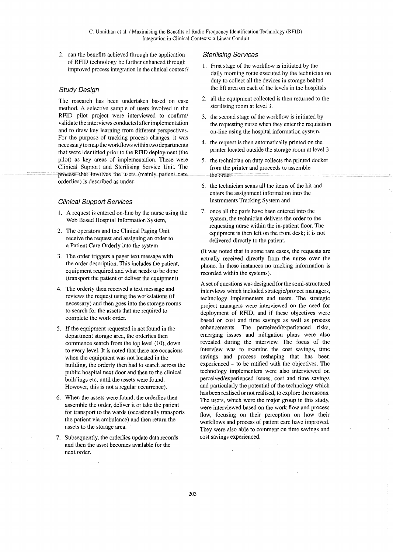2. can the benefits achieved through the application of RFID technology be further enhanced through improved process integration in the clinical context?

#### Study Design

The research has been undertaken based on case method. A selective sample of users involved in the RFID pilot project were interviewed to confirm/ validate the interviews conducted after implementation and to draw key learning from different perspectives. For the purpose of tracking process changes, it was necessary to map the workflows within two departments that were identified prior to the RFID deployment (the pilot) as key areas of implementation. These were Clinical Support and Sterilising Service Unit. The process that involves the users (mainly patient care orderlies) is described as under.

#### Clinical Support Services

- 1. A request is entered on-line by the nurse using the Web Based Hospital Information System,
- 2. The operators and the Clinical Paging Unit receive the request and assigning an order to a Patient Care Orderly into the system
- 3. The order triggers a pager text message with the order description. This includes the patient, equipment required and what needs to be done (transport the patient or deliver the equipment)
- 4. The orderly then received a text message and reviews the request using the workstations (if necessary) and then goes into the storage rooms to search for the assets that are required to complete the work order.
- 5. If the equipment requested is not found in the depattment storage area, the orderlies then commence search from the top level (10), down to every level. It is noted that there are occasions when the equipment was not located in the building, the orderly then had to search across the public hospital next door and then to the clinical buildings etc, until the assets were found. However, this is not a regular occurrence).
- 6. When the assets were found, the orderlies then assemble the order, deliver it or take the patient for transport to the wards (occasionally transports the patient via ambulance) and then return the assets to the storage area.
- 7. Subsequently, the orderlies update data records and then the asset becomes available for the next order.

#### Sterilising Services

- I. First stage of the workflow is initiated by the daily morning route executed by the technician on duty to collect all the devices in storage behind the lift area on each of the levels in the hospitals
- 2. all the equipment collected is then returned to the sterilising room at level 3.
- 3. the second stage of the workflow is initiated by the requesting nurse when they enter the requisition on-line using the hospital information system.
- 4. the request is then automatically printed on the printer located outside the storage room at level 3
- 5. the technician on duty collects the printed docket from the printer and proceeds to assemble the order
- 6. the technician scans all the items of the kit and enters the assignment information into the Instruments Tracking System and
- 7. once all the parts have been entered into the system, the technician delivers the order to the requesting nurse within the in-patient floor. The equipment is then left on the front desk; it is not delivered directly to the patient.

(It was noted that in some rare cases, the requests are actually received directly from the nurse over the phone. In these instances no tracking information is recorded within the systems).

A set of questions was designed for the semi-structured interviews which included strategic/project managers, technology implementers and users. The strategic project managers were interviewed on the need for deployment of RFID, and if these objectives were based on cost and time savings as well as process enhancements. The perceived/experienced risks, emerging issues and mitigation plans were also revealed during the interview. The focus of the interview was to examine the cost savings, time savings and process reshaping that has been experienced - to be ratified with the objectives. The technology implementers were also interviewed on perceived/experienced issues, cost and time savings and particularly the potential of the technology which has been realised or not realised, to explore the reasons. The users, which were the major group in this study, were interviewed based on the work flow and process flow, focusing on their perception on how their workflows and process of patient care have improved. They were also able to comment on time savings and cost savings experienced.

 $\ddot{\phantom{a}}$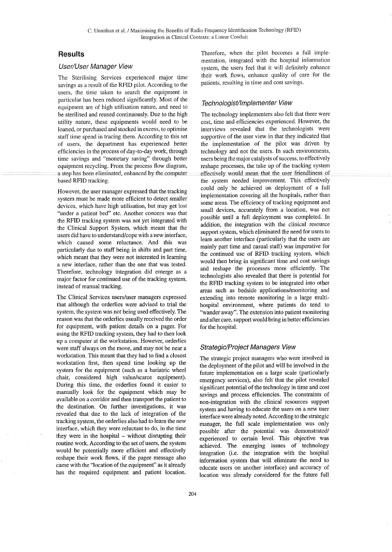## **Results**

#### User/User Manager View

The Sterilising Services experienced major time savings as a result of the RFID pilot. According to the users, the time taken to search the equipment in particular has been reduced significantly. Most of the equipment are of high utilisation nature, and need to be sterilised and reused continuously. Due to the high utility nature, these equipments would need to be loaned, or purchased and stocked in excess, to optimise staff time spend in tracing them. According to this set of users, the department has experienced better efficiencies in the process of day-to-day work, through time savings and "monetary saving" through better equipment recycling. From the process flow diagram, a step has been eliminated, enhanced by the computer based RFID tracking.

However, the user manager expressed that the tracking system must be made more efficient to detect smaller devices, which have high utilisation, but may get lost "under a patient bed" etc. Another concern was that the RFID tracking system was not yet integrated with the Clinical Support System, which meant that the users did have to understand/cope with a new interface, which caused some reluctance. And this was particularly due to staff being in shifts and part time, which meant that they were not interested in learning a new interface, rather than the one that was tested. Therefore, technology integration did emerge as a major factor for continued use of the tracking system, instead of manual tracking.

The Clinical Services users/user managers expressed that although the orderlies were advised to trial the system, the system was not being used effectively. The reason was that the orderlies usually received the order for equipment, with patient details on a pager. For using the RFID tracking system, they had to then look up a computer at the workstation. However, orderlies were staff always on the move, and may not be near a workstation. This meant that they had to find a closest workstation first, then spend time looking up the system for the equipment (such as a bariatric wheel chair, considered high value/scarce equipment). During this time, the orderlies found it easier to manually look for the equipment which may be available on a corridor and then transport the patient to the destination. On further investigations, it was revealed that due to the lack of integration of the tracking system, the orderlies also had to learn the new interface, which they were reluctant to do, in the time they were in the hospital – without disrupting their routine work. According to the set of users, the system would be potentially more efficient and effectively reshape their work flows, if the pager message also came with the "location of the equipment" as it already has the required equipment and patient location.

Therefore, when the pilot becomes a full implementation, integrated with the hospital information system, the users feel that it will definitely enhance their work flows, enhance quality of care for the patients, resulting in time and cost savings.

#### Technologist/Implementer View

The technology implementers also felt that there were cost, time and efficiencies experienced. However, the interviews revealed that the technologists were supportive of the user view in that they indicated that the implementation of the pilot was driven by technology and not the users. In such environments, users being the major catalysts of success, to effectively reshape processes, the take up of the tracking system effectively would mean that the user friendliness of the system needed improvement. This effectively could only be achieved on deployment of a full implementation covering all the hospitals, rather than some areas. The efficiency of tracking equipment and small devices, accurately from a location, was not possible until a full deployment was completed. In addition, the integration with the clinical resource support system, which eliminated the need for users to learn another interface (particularly that the users are mainly part time and casual staff) was imperative for the continued use of RFID tracking system, which would then bring in significant time and cost savings and reshape the processes more efficiently. The technologists also revealed that there is potential for the RFID tracking system to be integrated into other areas such as bedside applications/monitoring and extending into remote monitoring in a large multihospital environment, where patients do tend to "wander away". The extension into patient monitoring and after care, support would bring in better efficiencies for the hospital.

#### Strategic/Project Managers View

The strategic project managers who were involved in the deployment of the pilot and will be involved in the future implementation on a large scale (particularly emergency services), also felt that the pilot revealed significant potential of the technology in time and cost savings and process efficiencies. The constraints of non-integration with the clinical resources support system and having to educate the users on a new user interface were already noted. According to the strategic manager, the full scale implementation was only possible after the potential was demonstrated/ experienced to certain level. This objective was achieved. The emerging issues of technology integration (i.e. the integration with the hospital information system that will eliminate the need to educate users on another interface) and accuracy of location was already considered for the future full